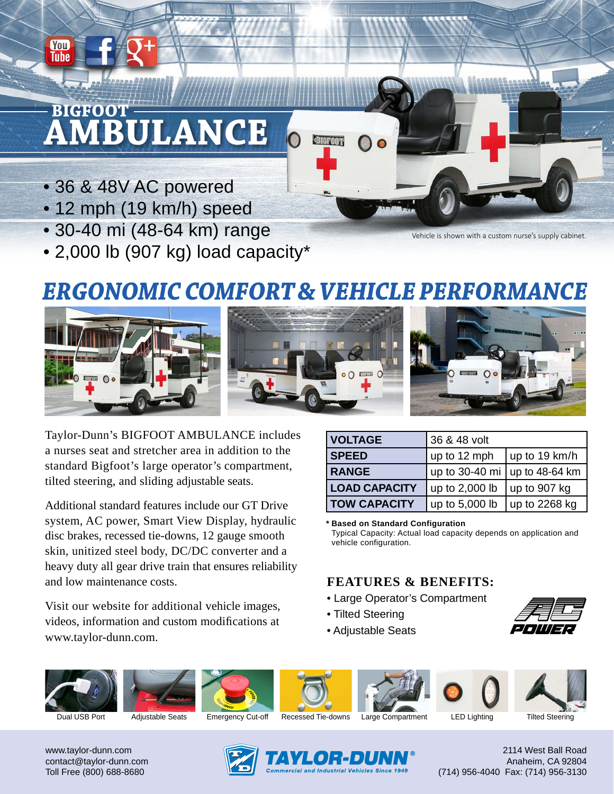# **AMBULANCE BIGFOOT**

• 36 & 48V AC powered

You Tube

- 12 mph (19 km/h) speed
- 30-40 mi (48-64 km) range
- 2,000 lb (907 kg) load capacity\*

Vehicle is shown with a custom nurse's supply cabinet.

# *ERGONOMIC COMFORT & VEHICLE PERFORMANCE*



Taylor-Dunn's BIGFOOT AMBULANCE includes a nurses seat and stretcher area in addition to the standard Bigfoot's large operator's compartment, tilted steering, and sliding adjustable seats.

Additional standard features include our GT Drive system, AC power, Smart View Display, hydraulic disc brakes, recessed tie-downs, 12 gauge smooth skin, unitized steel body, DC/DC converter and a heavy duty all gear drive train that ensures reliability and low maintenance costs.

Visit our website for additional vehicle images, videos, information and custom modifications at www.taylor-dunn.com.

| <b>VOLTAGE</b>       | 36 & 48 volt                          |                       |
|----------------------|---------------------------------------|-----------------------|
| <b>SPEED</b>         | up to 12 mph                          | $\vert$ up to 19 km/h |
| <b>RANGE</b>         | up to 30-40 mi $\vert$ up to 48-64 km |                       |
| <b>LOAD CAPACITY</b> | up to 2,000 lb                        | $\vert$ up to 907 kg  |
| <b>TOW CAPACITY</b>  | up to 5,000 lb                        | $\vert$ up to 2268 kg |

**Based on Standard Configuration \***

Typical Capacity: Actual load capacity depends on application and vehicle configuration.

## **FEATURES & BENEFITS:**

- Large Operator's Compartment
- Tilted Steering
- Adjustable Seats

















Dual USB Port Adjustable Seats Emergency Cut-off Recessed Tie-downs Large Compartment LED Lighting Tilted Steering

www.taylor-dunn.com contact@taylor-dunn.com Toll Free (800) 688-8680



2114 West Ball Road Anaheim, CA 92804 (714) 956-4040 Fax: (714) 956-3130